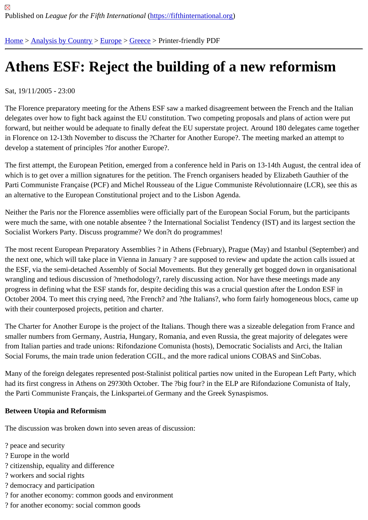## [Ath](https://fifthinternational.org/)[ens ESF:](https://fifthinternational.org/category/1) [Reje](https://fifthinternational.org/category/1/128)[ct th](https://fifthinternational.org/category/1/128/147)e building of a new reformism

Sat, 19/11/2005 - 23:00

The Florence preparatory meeting for the Athens ESF saw a marked disagreement between the French and the It delegates over how to fight back against the EU constitution. Two competing proposals and plans of action were p forward, but neither would be adequate to finally defeat the EU superstate project. Around 180 delegates came tog in Florence on 12-13th November to discuss the ?Charter for Another Europe?. The meeting marked an attempt to develop a statement of principles ?for another Europe?.

The first attempt, the European Petition, emerged from a conference held in Paris on 13-14th August, the central i which is to get over a million signatures for the petition. The French organisers headed by Elizabeth Gauthier of th Parti Communiste Française (PCF) and Michel Rousseau of the Ligue Communiste Révolutionnaire (LCR), see th an alternative to the European Constitutional project and to the Lisbon Agenda.

Neither the Paris nor the Florence assemblies were officially part of the European Social Forum, but the participan were much the same, with one notable absentee ? the International Socialist Tendency (IST) and its largest sectio Socialist Workers Party. Discuss programme? We don?t do programmes!

The most recent European Preparatory Assemblies ? in Athens (February), Prague (May) and Istanbul (September) the next one, which will take place in Vienna in January ? are supposed to review and update the action calls issue the ESF, via the semi-detached Assembly of Social Movements. But they generally get bogged down in organisati wrangling and tedious discussion of ?methodology?, rarely discussing action. Nor have these meetings made any progress in defining what the ESF stands for, despite deciding this was a crucial question after the London ESF in October 2004. To meet this crying need, ?the French? and ?the Italians?, who form fairly homogeneous blocs, car with their counterposed projects, petition and charter.

The Charter for Another Europe is the project of the Italians. Though there was a sizeable delegation from France smaller numbers from Germany, Austria, Hungary, Romania, and even Russia, the great majority of delegates wei from Italian parties and trade unions: Rifondazione Comunista (hosts), Democratic Socialists and Arci, the Italian Social Forums, the main trade union federation CGIL, and the more radical unions COBAS and SinCobas.

Many of the foreign delegates represented post-Stalinist political parties now united in the European Left Party, wh had its first congress in Athens on 29?30th October. The ?big four? in the ELP are Rifondazione Comunista of Ital the Parti Communiste Français, the Linkspartei.of Germany and the Greek Synaspismos.

Between Utopia and Reformism

The discussion was broken down into seven areas of discussion:

- ? peace and security
- ? Europe in the world
- ? citizenship, equality and difference
- ? workers and social rights
- ? democracy and participation
- ? for another economy: common goods and environment
- ? for another economy: social common goods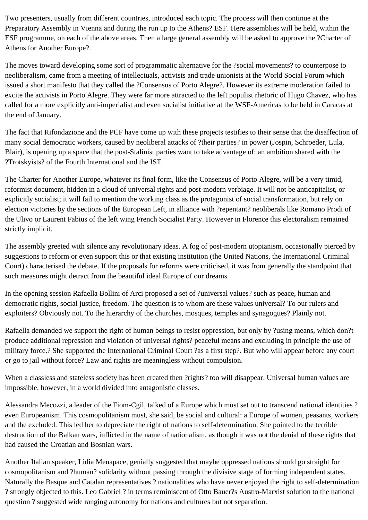Two presenters, usually from different countries, introduced each topic. The process will then continue at the Preparatory Assembly in Vienna and during the run up to the Athens? ESF. Here assemblies will be held, within the ESF programme, on each of the above areas. Then a large general assembly will be asked to approve the ?Charter of Athens for Another Europe?.

The moves toward developing some sort of programmatic alternative for the ?social movements? to counterpose to neoliberalism, came from a meeting of intellectuals, activists and trade unionists at the World Social Forum which issued a short manifesto that they called the ?Consensus of Porto Alegre?. However its extreme moderation failed to excite the activists in Porto Alegre. They were far more attracted to the left populist rhetoric of Hugo Chavez, who has called for a more explicitly anti-imperialist and even socialist initiative at the WSF-Americas to be held in Caracas at the end of January.

The fact that Rifondazione and the PCF have come up with these projects testifies to their sense that the disaffection of many social democratic workers, caused by neoliberal attacks of ?their parties? in power (Jospin, Schroeder, Lula, Blair), is opening up a space that the post-Stalinist parties want to take advantage of: an ambition shared with the ?Trotskyists? of the Fourth International and the IST.

The Charter for Another Europe, whatever its final form, like the Consensus of Porto Alegre, will be a very timid, reformist document, hidden in a cloud of universal rights and post-modern verbiage. It will not be anticapitalist, or explicitly socialist; it will fail to mention the working class as the protagonist of social transformation, but rely on election victories by the sections of the European Left, in alliance with ?repentant? neoliberals like Romano Prodi of the Ulivo or Laurent Fabius of the left wing French Socialist Party. However in Florence this electoralism remained strictly implicit.

The assembly greeted with silence any revolutionary ideas. A fog of post-modern utopianism, occasionally pierced by suggestions to reform or even support this or that existing institution (the United Nations, the International Criminal Court) characterised the debate. If the proposals for reforms were criticised, it was from generally the standpoint that such measures might detract from the beautiful ideal Europe of our dreams.

In the opening session Rafaella Bollini of Arci proposed a set of ?universal values? such as peace, human and democratic rights, social justice, freedom. The question is to whom are these values universal? To our rulers and exploiters? Obviously not. To the hierarchy of the churches, mosques, temples and synagogues? Plainly not.

Rafaella demanded we support the right of human beings to resist oppression, but only by ?using means, which don?t produce additional repression and violation of universal rights? peaceful means and excluding in principle the use of military force.? She supported the International Criminal Court ?as a first step?. But who will appear before any court or go to jail without force? Law and rights are meaningless without compulsion.

When a classless and stateless society has been created then ?rights? too will disappear. Universal human values are impossible, however, in a world divided into antagonistic classes.

Alessandra Mecozzi, a leader of the Fiom-Cgil, talked of a Europe which must set out to transcend national identities ? even Europeanism. This cosmopolitanism must, she said, be social and cultural: a Europe of women, peasants, workers and the excluded. This led her to depreciate the right of nations to self-determination. She pointed to the terrible destruction of the Balkan wars, inflicted in the name of nationalism, as though it was not the denial of these rights that had caused the Croatian and Bosnian wars.

Another Italian speaker, Lidia Menapace, genially suggested that maybe oppressed nations should go straight for cosmopolitanism and ?human? solidarity without passing through the divisive stage of forming independent states. Naturally the Basque and Catalan representatives ? nationalities who have never enjoyed the right to self-determination ? strongly objected to this. Leo Gabriel ? in terms reminiscent of Otto Bauer?s Austro-Marxist solution to the national question ? suggested wide ranging autonomy for nations and cultures but not separation.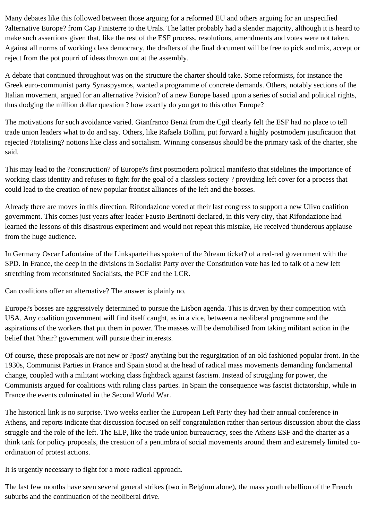Many debates like this followed between those arguing for a reformed EU and others arguing for an unspecified ?alternative Europe? from Cap Finisterre to the Urals. The latter probably had a slender majority, although it is heard to make such assertions given that, like the rest of the ESF process, resolutions, amendments and votes were not taken. Against all norms of working class democracy, the drafters of the final document will be free to pick and mix, accept or reject from the pot pourri of ideas thrown out at the assembly.

A debate that continued throughout was on the structure the charter should take. Some reformists, for instance the Greek euro-communist party Synaspysmos, wanted a programme of concrete demands. Others, notably sections of the Italian movement, argued for an alternative ?vision? of a new Europe based upon a series of social and political rights, thus dodging the million dollar question ? how exactly do you get to this other Europe?

The motivations for such avoidance varied. Gianfranco Benzi from the Cgil clearly felt the ESF had no place to tell trade union leaders what to do and say. Others, like Rafaela Bollini, put forward a highly postmodern justification that rejected ?totalising? notions like class and socialism. Winning consensus should be the primary task of the charter, she said.

This may lead to the ?construction? of Europe?s first postmodern political manifesto that sidelines the importance of working class identity and refuses to fight for the goal of a classless society ? providing left cover for a process that could lead to the creation of new popular frontist alliances of the left and the bosses.

Already there are moves in this direction. Rifondazione voted at their last congress to support a new Ulivo coalition government. This comes just years after leader Fausto Bertinotti declared, in this very city, that Rifondazione had learned the lessons of this disastrous experiment and would not repeat this mistake, He received thunderous applause from the huge audience.

In Germany Oscar Lafontaine of the Linkspartei has spoken of the ?dream ticket? of a red-red government with the SPD. In France, the deep in the divisions in Socialist Party over the Constitution vote has led to talk of a new left stretching from reconstituted Socialists, the PCF and the LCR.

Can coalitions offer an alternative? The answer is plainly no.

Europe?s bosses are aggressively determined to pursue the Lisbon agenda. This is driven by their competition with USA. Any coalition government will find itself caught, as in a vice, between a neoliberal programme and the aspirations of the workers that put them in power. The masses will be demobilised from taking militant action in the belief that ?their? government will pursue their interests.

Of course, these proposals are not new or ?post? anything but the regurgitation of an old fashioned popular front. In the 1930s, Communist Parties in France and Spain stood at the head of radical mass movements demanding fundamental change, coupled with a militant working class fightback against fascism. Instead of struggling for power, the Communists argued for coalitions with ruling class parties. In Spain the consequence was fascist dictatorship, while in France the events culminated in the Second World War.

The historical link is no surprise. Two weeks earlier the European Left Party they had their annual conference in Athens, and reports indicate that discussion focused on self congratulation rather than serious discussion about the class struggle and the role of the left. The ELP, like the trade union bureaucracy, sees the Athens ESF and the charter as a think tank for policy proposals, the creation of a penumbra of social movements around them and extremely limited coordination of protest actions.

It is urgently necessary to fight for a more radical approach.

The last few months have seen several general strikes (two in Belgium alone), the mass youth rebellion of the French suburbs and the continuation of the neoliberal drive.